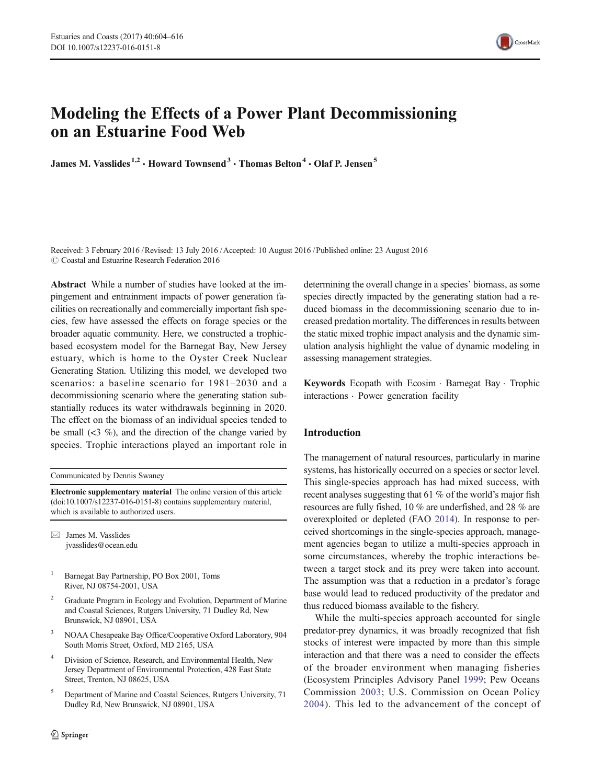

# Modeling the Effects of a Power Plant Decommissioning on an Estuarine Food Web

James M. Vasslides<sup>1,2</sup>  $\cdot$  Howard Townsend<sup>3</sup>  $\cdot$  Thomas Belton<sup>4</sup>  $\cdot$  Olaf P. Jensen<sup>5</sup>

Received: 3 February 2016 /Revised: 13 July 2016 /Accepted: 10 August 2016 /Published online: 23 August 2016  $\odot$  Coastal and Estuarine Research Federation 2016

Abstract While a number of studies have looked at the impingement and entrainment impacts of power generation facilities on recreationally and commercially important fish species, few have assessed the effects on forage species or the broader aquatic community. Here, we constructed a trophicbased ecosystem model for the Barnegat Bay, New Jersey estuary, which is home to the Oyster Creek Nuclear Generating Station. Utilizing this model, we developed two scenarios: a baseline scenario for 1981–2030 and a decommissioning scenario where the generating station substantially reduces its water withdrawals beginning in 2020. The effect on the biomass of an individual species tended to be small  $(3\%)$ , and the direction of the change varied by species. Trophic interactions played an important role in

Communicated by Dennis Swaney

Electronic supplementary material The online version of this article (doi[:10.1007/s12237-016-0151-8](http://dx.doi.org/10.1007/s12237-016-0151-8)) contains supplementary material, which is available to authorized users.

 $\boxtimes$  James M. Vasslides jvasslides@ocean.edu

<sup>1</sup> Barnegat Bay Partnership, PO Box 2001, Toms River, NJ 08754-2001, USA

- <sup>2</sup> Graduate Program in Ecology and Evolution, Department of Marine and Coastal Sciences, Rutgers University, 71 Dudley Rd, New Brunswick, NJ 08901, USA
- <sup>3</sup> NOAA Chesapeake Bay Office/Cooperative Oxford Laboratory, 904 South Morris Street, Oxford, MD 2165, USA
- Division of Science, Research, and Environmental Health, New Jersey Department of Environmental Protection, 428 East State Street, Trenton, NJ 08625, USA
- <sup>5</sup> Department of Marine and Coastal Sciences, Rutgers University, 71 Dudley Rd, New Brunswick, NJ 08901, USA

determining the overall change in a species' biomass, as some species directly impacted by the generating station had a reduced biomass in the decommissioning scenario due to increased predation mortality. The differences in results between the static mixed trophic impact analysis and the dynamic simulation analysis highlight the value of dynamic modeling in assessing management strategies.

Keywords Ecopath with Ecosim . Barnegat Bay . Trophic interactions . Power generation facility

## Introduction

The management of natural resources, particularly in marine systems, has historically occurred on a species or sector level. This single-species approach has had mixed success, with recent analyses suggesting that 61 % of the world's major fish resources are fully fished, 10 % are underfished, and 28 % are overexploited or depleted (FAO [2014](#page-11-0)). In response to perceived shortcomings in the single-species approach, management agencies began to utilize a multi-species approach in some circumstances, whereby the trophic interactions between a target stock and its prey were taken into account. The assumption was that a reduction in a predator's forage base would lead to reduced productivity of the predator and thus reduced biomass available to the fishery.

While the multi-species approach accounted for single predator-prey dynamics, it was broadly recognized that fish stocks of interest were impacted by more than this simple interaction and that there was a need to consider the effects of the broader environment when managing fisheries (Ecosystem Principles Advisory Panel [1999](#page-10-0); Pew Oceans Commission [2003;](#page-11-0) U.S. Commission on Ocean Policy [2004](#page-12-0)). This led to the advancement of the concept of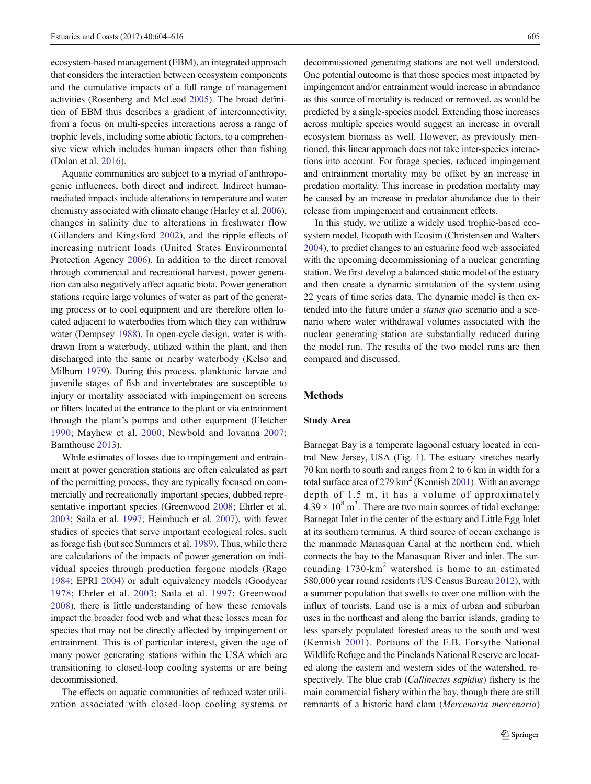ecosystem-based management (EBM), an integrated approach that considers the interaction between ecosystem components and the cumulative impacts of a full range of management activities (Rosenberg and McLeod [2005\)](#page-11-0). The broad definition of EBM thus describes a gradient of interconnectivity, from a focus on multi-species interactions across a range of trophic levels, including some abiotic factors, to a comprehensive view which includes human impacts other than fishing (Dolan et al. [2016\)](#page-10-0).

Aquatic communities are subject to a myriad of anthropogenic influences, both direct and indirect. Indirect humanmediated impacts include alterations in temperature and water chemistry associated with climate change (Harley et al. [2006\)](#page-11-0), changes in salinity due to alterations in freshwater flow (Gillanders and Kingsford [2002](#page-11-0)), and the ripple effects of increasing nutrient loads (United States Environmental Protection Agency [2006](#page-12-0)). In addition to the direct removal through commercial and recreational harvest, power generation can also negatively affect aquatic biota. Power generation stations require large volumes of water as part of the generating process or to cool equipment and are therefore often located adjacent to waterbodies from which they can withdraw water (Dempsey [1988](#page-10-0)). In open-cycle design, water is withdrawn from a waterbody, utilized within the plant, and then discharged into the same or nearby waterbody (Kelso and Milburn [1979\)](#page-11-0). During this process, planktonic larvae and juvenile stages of fish and invertebrates are susceptible to injury or mortality associated with impingement on screens or filters located at the entrance to the plant or via entrainment through the plant's pumps and other equipment (Fletcher [1990](#page-11-0); Mayhew et al. [2000;](#page-11-0) Newbold and Iovanna [2007](#page-11-0); Barnthouse [2013](#page-10-0)).

While estimates of losses due to impingement and entrainment at power generation stations are often calculated as part of the permitting process, they are typically focused on commercially and recreationally important species, dubbed representative important species (Greenwood [2008;](#page-11-0) Ehrler et al. [2003;](#page-10-0) Saila et al. [1997](#page-11-0); Heimbuch et al. [2007\)](#page-11-0), with fewer studies of species that serve important ecological roles, such as forage fish (but see Summers et al. [1989\)](#page-11-0). Thus, while there are calculations of the impacts of power generation on individual species through production forgone models (Rago [1984;](#page-11-0) EPRI [2004\)](#page-11-0) or adult equivalency models (Goodyear [1978;](#page-11-0) Ehrler et al. [2003;](#page-10-0) Saila et al. [1997](#page-11-0); Greenwood [2008\)](#page-11-0), there is little understanding of how these removals impact the broader food web and what these losses mean for species that may not be directly affected by impingement or entrainment. This is of particular interest, given the age of many power generating stations within the USA which are transitioning to closed-loop cooling systems or are being decommissioned.

The effects on aquatic communities of reduced water utilization associated with closed-loop cooling systems or decommissioned generating stations are not well understood. One potential outcome is that those species most impacted by impingement and/or entrainment would increase in abundance as this source of mortality is reduced or removed, as would be predicted by a single-species model. Extending those increases across multiple species would suggest an increase in overall ecosystem biomass as well. However, as previously mentioned, this linear approach does not take inter-species interactions into account. For forage species, reduced impingement and entrainment mortality may be offset by an increase in predation mortality. This increase in predation mortality may be caused by an increase in predator abundance due to their release from impingement and entrainment effects.

In this study, we utilize a widely used trophic-based ecosystem model, Ecopath with Ecosim (Christensen and Walters [2004\)](#page-10-0), to predict changes to an estuarine food web associated with the upcoming decommissioning of a nuclear generating station. We first develop a balanced static model of the estuary and then create a dynamic simulation of the system using 22 years of time series data. The dynamic model is then extended into the future under a status quo scenario and a scenario where water withdrawal volumes associated with the nuclear generating station are substantially reduced during the model run. The results of the two model runs are then compared and discussed.

## Methods

## Study Area

Barnegat Bay is a temperate lagoonal estuary located in central New Jersey, USA (Fig. [1\)](#page-2-0). The estuary stretches nearly 70 km north to south and ranges from 2 to 6 km in width for a total surface area of 279 km<sup>2</sup> (Kennish [2001\)](#page-11-0). With an average depth of 1.5 m, it has a volume of approximately  $4.39 \times 10^8$  m<sup>3</sup>. There are two main sources of tidal exchange: Barnegat Inlet in the center of the estuary and Little Egg Inlet at its southern terminus. A third source of ocean exchange is the manmade Manasquan Canal at the northern end, which connects the bay to the Manasquan River and inlet. The surrounding 1730-km<sup>2</sup> watershed is home to an estimated 580,000 year round residents (US Census Bureau [2012](#page-12-0)), with a summer population that swells to over one million with the influx of tourists. Land use is a mix of urban and suburban uses in the northeast and along the barrier islands, grading to less sparsely populated forested areas to the south and west (Kennish [2001\)](#page-11-0). Portions of the E.B. Forsythe National Wildlife Refuge and the Pinelands National Reserve are located along the eastern and western sides of the watershed, respectively. The blue crab (Callinectes sapidus) fishery is the main commercial fishery within the bay, though there are still remnants of a historic hard clam (Mercenaria mercenaria)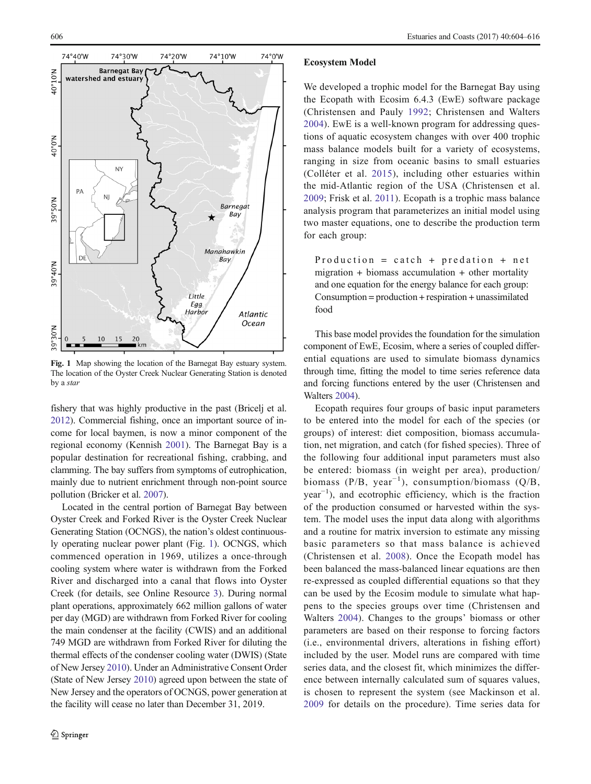<span id="page-2-0"></span>

Fig. 1 Map showing the location of the Barnegat Bay estuary system. The location of the Oyster Creek Nuclear Generating Station is denoted by a star

fishery that was highly productive in the past (Bricelj et al. [2012\)](#page-10-0). Commercial fishing, once an important source of income for local baymen, is now a minor component of the regional economy (Kennish [2001\)](#page-11-0). The Barnegat Bay is a popular destination for recreational fishing, crabbing, and clamming. The bay suffers from symptoms of eutrophication, mainly due to nutrient enrichment through non-point source pollution (Bricker et al. [2007](#page-10-0)).

Located in the central portion of Barnegat Bay between Oyster Creek and Forked River is the Oyster Creek Nuclear Generating Station (OCNGS), the nation's oldest continuously operating nuclear power plant (Fig. 1). OCNGS, which commenced operation in 1969, utilizes a once-through cooling system where water is withdrawn from the Forked River and discharged into a canal that flows into Oyster Creek (for details, see Online Resource 3). During normal plant operations, approximately 662 million gallons of water per day (MGD) are withdrawn from Forked River for cooling the main condenser at the facility (CWIS) and an additional 749 MGD are withdrawn from Forked River for diluting the thermal effects of the condenser cooling water (DWIS) (State of New Jersey [2010](#page-11-0)). Under an Administrative Consent Order (State of New Jersey [2010](#page-11-0)) agreed upon between the state of New Jersey and the operators of OCNGS, power generation at the facility will cease no later than December 31, 2019.

#### Ecosystem Model

We developed a trophic model for the Barnegat Bay using the Ecopath with Ecosim 6.4.3 (EwE) software package (Christensen and Pauly [1992](#page-10-0); Christensen and Walters [2004](#page-10-0)). EwE is a well-known program for addressing questions of aquatic ecosystem changes with over 400 trophic mass balance models built for a variety of ecosystems, ranging in size from oceanic basins to small estuaries (Colléter et al. [2015\)](#page-10-0), including other estuaries within the mid-Atlantic region of the USA (Christensen et al. [2009](#page-10-0); Frisk et al. [2011](#page-11-0)). Ecopath is a trophic mass balance analysis program that parameterizes an initial model using two master equations, one to describe the production term for each group:

Production = catch + predation + net migration + biomass accumulation + other mortality and one equation for the energy balance for each group: Consumption = production + respiration + unassimilated food

This base model provides the foundation for the simulation component of EwE, Ecosim, where a series of coupled differential equations are used to simulate biomass dynamics through time, fitting the model to time series reference data and forcing functions entered by the user (Christensen and Walters [2004\)](#page-10-0).

Ecopath requires four groups of basic input parameters to be entered into the model for each of the species (or groups) of interest: diet composition, biomass accumulation, net migration, and catch (for fished species). Three of the following four additional input parameters must also be entered: biomass (in weight per area), production/ biomass (P/B, year<sup>-1</sup>), consumption/biomass (Q/B, year−<sup>1</sup> ), and ecotrophic efficiency, which is the fraction of the production consumed or harvested within the system. The model uses the input data along with algorithms and a routine for matrix inversion to estimate any missing basic parameters so that mass balance is achieved (Christensen et al. [2008](#page-10-0)). Once the Ecopath model has been balanced the mass-balanced linear equations are then re-expressed as coupled differential equations so that they can be used by the Ecosim module to simulate what happens to the species groups over time (Christensen and Walters [2004](#page-10-0)). Changes to the groups' biomass or other parameters are based on their response to forcing factors (i.e., environmental drivers, alterations in fishing effort) included by the user. Model runs are compared with time series data, and the closest fit, which minimizes the difference between internally calculated sum of squares values, is chosen to represent the system (see Mackinson et al. [2009](#page-11-0) for details on the procedure). Time series data for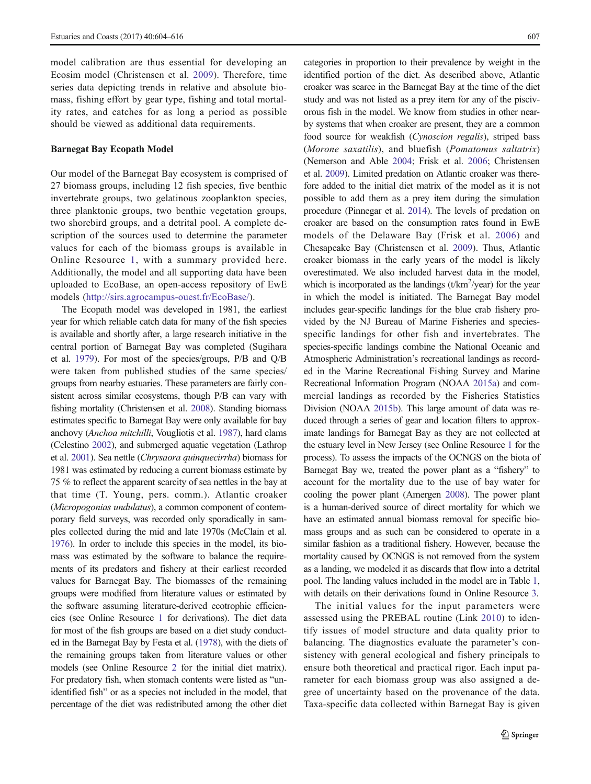model calibration are thus essential for developing an Ecosim model (Christensen et al. [2009](#page-10-0)). Therefore, time series data depicting trends in relative and absolute biomass, fishing effort by gear type, fishing and total mortality rates, and catches for as long a period as possible should be viewed as additional data requirements.

#### Barnegat Bay Ecopath Model

Our model of the Barnegat Bay ecosystem is comprised of 27 biomass groups, including 12 fish species, five benthic invertebrate groups, two gelatinous zooplankton species, three planktonic groups, two benthic vegetation groups, two shorebird groups, and a detrital pool. A complete description of the sources used to determine the parameter values for each of the biomass groups is available in Online Resource 1, with a summary provided here. Additionally, the model and all supporting data have been uploaded to EcoBase, an open-access repository of EwE models (<http://sirs.agrocampus-ouest.fr/EcoBase/>).

The Ecopath model was developed in 1981, the earliest year for which reliable catch data for many of the fish species is available and shortly after, a large research initiative in the central portion of Barnegat Bay was completed (Sugihara et al. [1979\)](#page-11-0). For most of the species/groups, P/B and Q/B were taken from published studies of the same species/ groups from nearby estuaries. These parameters are fairly consistent across similar ecosystems, though P/B can vary with fishing mortality (Christensen et al. [2008\)](#page-10-0). Standing biomass estimates specific to Barnegat Bay were only available for bay anchovy (Anchoa mitchilli, Vougliotis et al. [1987](#page-12-0)), hard clams (Celestino [2002](#page-10-0)), and submerged aquatic vegetation (Lathrop et al. [2001\)](#page-11-0). Sea nettle (Chrysaora quinquecirrha) biomass for 1981 was estimated by reducing a current biomass estimate by 75 % to reflect the apparent scarcity of sea nettles in the bay at that time (T. Young, pers. comm.). Atlantic croaker (Micropogonias undulatus), a common component of contemporary field surveys, was recorded only sporadically in samples collected during the mid and late 1970s (McClain et al. [1976](#page-11-0)). In order to include this species in the model, its biomass was estimated by the software to balance the requirements of its predators and fishery at their earliest recorded values for Barnegat Bay. The biomasses of the remaining groups were modified from literature values or estimated by the software assuming literature-derived ecotrophic efficiencies (see Online Resource 1 for derivations). The diet data for most of the fish groups are based on a diet study conducted in the Barnegat Bay by Festa et al. [\(1978](#page-11-0)), with the diets of the remaining groups taken from literature values or other models (see Online Resource 2 for the initial diet matrix). For predatory fish, when stomach contents were listed as "unidentified fish" or as a species not included in the model, that percentage of the diet was redistributed among the other diet

categories in proportion to their prevalence by weight in the identified portion of the diet. As described above, Atlantic croaker was scarce in the Barnegat Bay at the time of the diet study and was not listed as a prey item for any of the piscivorous fish in the model. We know from studies in other nearby systems that when croaker are present, they are a common food source for weakfish (Cynoscion regalis), striped bass (Morone saxatilis), and bluefish (Pomatomus saltatrix) (Nemerson and Able [2004](#page-11-0); Frisk et al. [2006](#page-11-0); Christensen et al. [2009](#page-10-0)). Limited predation on Atlantic croaker was therefore added to the initial diet matrix of the model as it is not possible to add them as a prey item during the simulation procedure (Pinnegar et al. [2014](#page-11-0)). The levels of predation on croaker are based on the consumption rates found in EwE models of the Delaware Bay (Frisk et al. [2006\)](#page-11-0) and Chesapeake Bay (Christensen et al. [2009](#page-10-0)). Thus, Atlantic croaker biomass in the early years of the model is likely overestimated. We also included harvest data in the model, which is incorporated as the landings  $(t/km^2$ /year) for the year in which the model is initiated. The Barnegat Bay model includes gear-specific landings for the blue crab fishery provided by the NJ Bureau of Marine Fisheries and speciesspecific landings for other fish and invertebrates. The species-specific landings combine the National Oceanic and Atmospheric Administration's recreational landings as recorded in the Marine Recreational Fishing Survey and Marine Recreational Information Program (NOAA [2015a](#page-11-0)) and commercial landings as recorded by the Fisheries Statistics Division (NOAA [2015b\)](#page-11-0). This large amount of data was reduced through a series of gear and location filters to approximate landings for Barnegat Bay as they are not collected at the estuary level in New Jersey (see Online Resource 1 for the process). To assess the impacts of the OCNGS on the biota of Barnegat Bay we, treated the power plant as a "fishery" to account for the mortality due to the use of bay water for cooling the power plant (Amergen [2008](#page-10-0)). The power plant is a human-derived source of direct mortality for which we have an estimated annual biomass removal for specific biomass groups and as such can be considered to operate in a similar fashion as a traditional fishery. However, because the mortality caused by OCNGS is not removed from the system as a landing, we modeled it as discards that flow into a detrital pool. The landing values included in the model are in Table [1,](#page-4-0) with details on their derivations found in Online Resource 3.

The initial values for the input parameters were assessed using the PREBAL routine (Link [2010](#page-11-0)) to identify issues of model structure and data quality prior to balancing. The diagnostics evaluate the parameter's consistency with general ecological and fishery principals to ensure both theoretical and practical rigor. Each input parameter for each biomass group was also assigned a degree of uncertainty based on the provenance of the data. Taxa-specific data collected within Barnegat Bay is given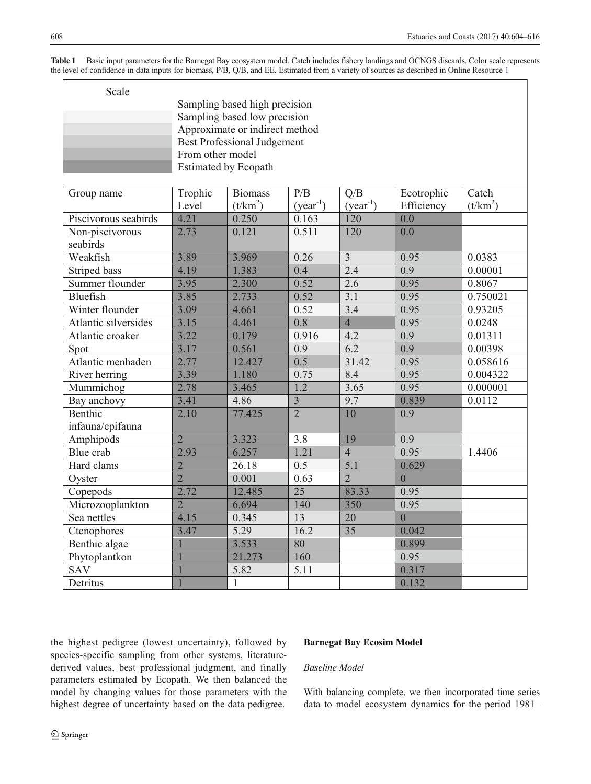<span id="page-4-0"></span>

| Table 1 Basic input parameters for the Barnegat Bay ecosystem model. Catch includes fishery landings and OCNGS discards. Color scale represents |  |
|-------------------------------------------------------------------------------------------------------------------------------------------------|--|
| the level of confidence in data inputs for biomass, P/B, Q/B, and EE. Estimated from a variety of sources as described in Online Resource 1     |  |

| Scale                       | Sampling based high precision<br>Sampling based low precision<br>Approximate or indirect method<br><b>Best Professional Judgement</b><br>From other model<br><b>Estimated by Ecopath</b> |                              |                         |                      |                          |                     |  |
|-----------------------------|------------------------------------------------------------------------------------------------------------------------------------------------------------------------------------------|------------------------------|-------------------------|----------------------|--------------------------|---------------------|--|
| Group name                  | Trophic<br>Level                                                                                                                                                                         | <b>Biomass</b><br>$(t/km^2)$ | P/B<br>$(year^{-1})$    | Q/B<br>$(year^{-1})$ | Ecotrophic<br>Efficiency | Catch<br>$(t/km^2)$ |  |
| Piscivorous seabirds        | 4.21                                                                                                                                                                                     | 0.250                        | 0.163                   | 120                  | 0.0                      |                     |  |
| Non-piscivorous<br>seabirds | 2.73                                                                                                                                                                                     | 0.121                        | 0.511                   | $\overline{120}$     | 0.0                      |                     |  |
| Weakfish                    | 3.89                                                                                                                                                                                     | 3.969                        | 0.26                    | $\overline{3}$       | 0.95                     | 0.0383              |  |
| Striped bass                | 4.19                                                                                                                                                                                     | 1.383                        | 0.4                     | 2.4                  | 0.9                      | 0.00001             |  |
| Summer flounder             | 3.95                                                                                                                                                                                     | 2.300                        | 0.52                    | 2.6                  | 0.95                     | 0.8067              |  |
| Bluefish                    | 3.85                                                                                                                                                                                     | 2.733                        | 0.52                    | 3.1                  | 0.95                     | 0.750021            |  |
| Winter flounder             | 3.09                                                                                                                                                                                     | 4.661                        | 0.52                    | 3.4                  | 0.95                     | 0.93205             |  |
| Atlantic silversides        | 3.15                                                                                                                                                                                     | 4.461                        | 0.8                     | $\overline{4}$       | 0.95                     | 0.0248              |  |
| Atlantic croaker            | 3.22                                                                                                                                                                                     | 0.179                        | 0.916                   | 4.2                  | 0.9                      | 0.01311             |  |
| Spot                        | 3.17                                                                                                                                                                                     | 0.561                        | 0.9                     | 6.2                  | 0.9                      | 0.00398             |  |
| Atlantic menhaden           | 2.77                                                                                                                                                                                     | 12.427                       | 0.5                     | 31.42                | 0.95                     | 0.058616            |  |
| River herring               | 3.39                                                                                                                                                                                     | 1.180                        | 0.75                    | 8.4                  | 0.95                     | 0.004322            |  |
| Mummichog                   | 2.78                                                                                                                                                                                     | 3.465                        | $\overline{1.2}$        | 3.65                 | 0.95                     | 0.000001            |  |
| Bay anchovy                 | 3.41                                                                                                                                                                                     | 4.86                         | $\overline{\mathbf{3}}$ | 9.7                  | 0.839                    | 0.0112              |  |
| Benthic<br>infauna/epifauna | 2.10                                                                                                                                                                                     | 77.425                       | $\overline{2}$          | 10                   | 0.9                      |                     |  |
| Amphipods                   | $\overline{2}$                                                                                                                                                                           | 3.323                        | 3.8                     | 19                   | 0.9                      |                     |  |
| Blue crab                   | 2.93                                                                                                                                                                                     | 6.257                        | 1.21                    | $\overline{4}$       | 0.95                     | 1.4406              |  |
| Hard clams                  | $\overline{2}$                                                                                                                                                                           | 26.18                        | 0.5                     | 5.1                  | 0.629                    |                     |  |
| Oyster                      | $\overline{2}$                                                                                                                                                                           | 0.001                        | 0.63                    | $\overline{2}$       | $\overline{0}$           |                     |  |
| Copepods                    | 2.72                                                                                                                                                                                     | 12.485                       | 25                      | 83.33                | 0.95                     |                     |  |
| Microzooplankton            | $\overline{2}$                                                                                                                                                                           | 6.694                        | 140                     | 350                  | 0.95                     |                     |  |
| Sea nettles                 | 4.15                                                                                                                                                                                     | 0.345                        | 13                      | 20                   | $\overline{0}$           |                     |  |
| Ctenophores                 | 3.47                                                                                                                                                                                     | 5.29                         | 16.2                    | 35                   | 0.042                    |                     |  |
| Benthic algae               | $\mathbf{1}$                                                                                                                                                                             | 3.533                        | 80                      |                      | 0.899                    |                     |  |
| Phytoplantkon               | $\mathbf{1}$                                                                                                                                                                             | 21.273                       | 160                     |                      | 0.95                     |                     |  |
| SAV                         | 1                                                                                                                                                                                        | 5.82                         | 5.11                    |                      | 0.317                    |                     |  |
| Detritus                    | $\mathbf{1}$                                                                                                                                                                             | $\mathbf{1}$                 |                         |                      | 0.132                    |                     |  |

the highest pedigree (lowest uncertainty), followed by species-specific sampling from other systems, literaturederived values, best professional judgment, and finally parameters estimated by Ecopath. We then balanced the model by changing values for those parameters with the highest degree of uncertainty based on the data pedigree.

# Barnegat Bay Ecosim Model

# Baseline Model

With balancing complete, we then incorporated time series data to model ecosystem dynamics for the period 1981–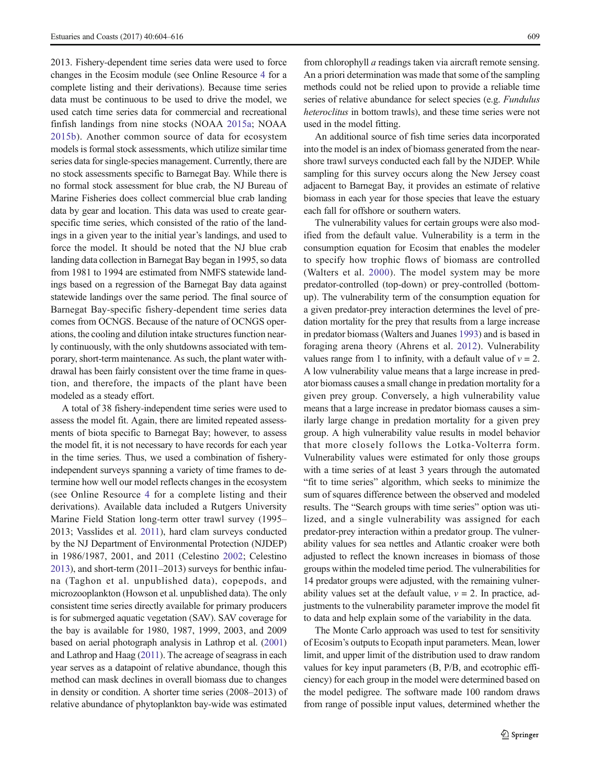2013. Fishery-dependent time series data were used to force changes in the Ecosim module (see Online Resource 4 for a complete listing and their derivations). Because time series data must be continuous to be used to drive the model, we used catch time series data for commercial and recreational finfish landings from nine stocks (NOAA [2015a;](#page-11-0) NOAA [2015b](#page-11-0)). Another common source of data for ecosystem models is formal stock assessments, which utilize similar time series data for single-species management. Currently, there are no stock assessments specific to Barnegat Bay. While there is no formal stock assessment for blue crab, the NJ Bureau of Marine Fisheries does collect commercial blue crab landing data by gear and location. This data was used to create gearspecific time series, which consisted of the ratio of the landings in a given year to the initial year's landings, and used to force the model. It should be noted that the NJ blue crab landing data collection in Barnegat Bay began in 1995, so data from 1981 to 1994 are estimated from NMFS statewide landings based on a regression of the Barnegat Bay data against statewide landings over the same period. The final source of Barnegat Bay-specific fishery-dependent time series data comes from OCNGS. Because of the nature of OCNGS operations, the cooling and dilution intake structures function nearly continuously, with the only shutdowns associated with temporary, short-term maintenance. As such, the plant water withdrawal has been fairly consistent over the time frame in question, and therefore, the impacts of the plant have been modeled as a steady effort.

A total of 38 fishery-independent time series were used to assess the model fit. Again, there are limited repeated assessments of biota specific to Barnegat Bay; however, to assess the model fit, it is not necessary to have records for each year in the time series. Thus, we used a combination of fisheryindependent surveys spanning a variety of time frames to determine how well our model reflects changes in the ecosystem (see Online Resource 4 for a complete listing and their derivations). Available data included a Rutgers University Marine Field Station long-term otter trawl survey (1995– 2013; Vasslides et al. [2011](#page-12-0)), hard clam surveys conducted by the NJ Department of Environmental Protection (NJDEP) in 1986/1987, 2001, and 2011 (Celestino [2002;](#page-10-0) Celestino [2013\)](#page-10-0), and short-term (2011–2013) surveys for benthic infauna (Taghon et al. unpublished data), copepods, and microzooplankton (Howson et al. unpublished data). The only consistent time series directly available for primary producers is for submerged aquatic vegetation (SAV). SAV coverage for the bay is available for 1980, 1987, 1999, 2003, and 2009 based on aerial photograph analysis in Lathrop et al. [\(2001\)](#page-11-0) and Lathrop and Haag ([2011](#page-11-0)). The acreage of seagrass in each year serves as a datapoint of relative abundance, though this method can mask declines in overall biomass due to changes in density or condition. A shorter time series (2008–2013) of relative abundance of phytoplankton bay-wide was estimated from chlorophyll a readings taken via aircraft remote sensing. An a priori determination was made that some of the sampling methods could not be relied upon to provide a reliable time series of relative abundance for select species (e.g. Fundulus heteroclitus in bottom trawls), and these time series were not used in the model fitting.

An additional source of fish time series data incorporated into the model is an index of biomass generated from the nearshore trawl surveys conducted each fall by the NJDEP. While sampling for this survey occurs along the New Jersey coast adjacent to Barnegat Bay, it provides an estimate of relative biomass in each year for those species that leave the estuary each fall for offshore or southern waters.

The vulnerability values for certain groups were also modified from the default value. Vulnerability is a term in the consumption equation for Ecosim that enables the modeler to specify how trophic flows of biomass are controlled (Walters et al. [2000\)](#page-12-0). The model system may be more predator-controlled (top-down) or prey-controlled (bottomup). The vulnerability term of the consumption equation for a given predator-prey interaction determines the level of predation mortality for the prey that results from a large increase in predator biomass (Walters and Juanes [1993](#page-12-0)) and is based in foraging arena theory (Ahrens et al. [2012](#page-10-0)). Vulnerability values range from 1 to infinity, with a default value of  $v = 2$ . A low vulnerability value means that a large increase in predator biomass causes a small change in predation mortality for a given prey group. Conversely, a high vulnerability value means that a large increase in predator biomass causes a similarly large change in predation mortality for a given prey group. A high vulnerability value results in model behavior that more closely follows the Lotka-Volterra form. Vulnerability values were estimated for only those groups with a time series of at least 3 years through the automated "fit to time series" algorithm, which seeks to minimize the sum of squares difference between the observed and modeled results. The "Search groups with time series" option was utilized, and a single vulnerability was assigned for each predator-prey interaction within a predator group. The vulnerability values for sea nettles and Atlantic croaker were both adjusted to reflect the known increases in biomass of those groups within the modeled time period. The vulnerabilities for 14 predator groups were adjusted, with the remaining vulnerability values set at the default value,  $v = 2$ . In practice, adjustments to the vulnerability parameter improve the model fit to data and help explain some of the variability in the data.

The Monte Carlo approach was used to test for sensitivity of Ecosim's outputs to Ecopath input parameters. Mean, lower limit, and upper limit of the distribution used to draw random values for key input parameters (B, P/B, and ecotrophic efficiency) for each group in the model were determined based on the model pedigree. The software made 100 random draws from range of possible input values, determined whether the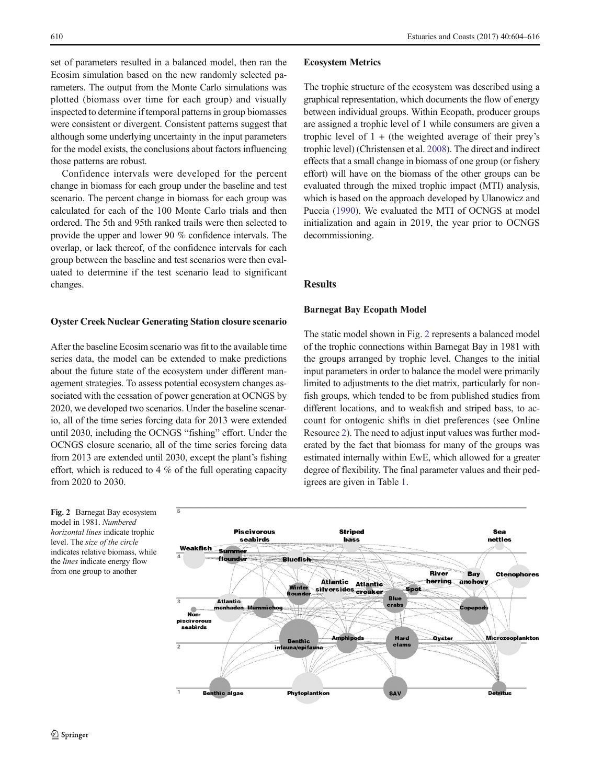set of parameters resulted in a balanced model, then ran the Ecosim simulation based on the new randomly selected parameters. The output from the Monte Carlo simulations was plotted (biomass over time for each group) and visually inspected to determine if temporal patterns in group biomasses were consistent or divergent. Consistent patterns suggest that although some underlying uncertainty in the input parameters for the model exists, the conclusions about factors influencing those patterns are robust.

Confidence intervals were developed for the percent change in biomass for each group under the baseline and test scenario. The percent change in biomass for each group was calculated for each of the 100 Monte Carlo trials and then ordered. The 5th and 95th ranked trails were then selected to provide the upper and lower 90 % confidence intervals. The overlap, or lack thereof, of the confidence intervals for each group between the baseline and test scenarios were then evaluated to determine if the test scenario lead to significant changes.

#### Oyster Creek Nuclear Generating Station closure scenario

After the baseline Ecosim scenario was fit to the available time series data, the model can be extended to make predictions about the future state of the ecosystem under different management strategies. To assess potential ecosystem changes associated with the cessation of power generation at OCNGS by 2020, we developed two scenarios. Under the baseline scenario, all of the time series forcing data for 2013 were extended until 2030, including the OCNGS "fishing" effort. Under the OCNGS closure scenario, all of the time series forcing data from 2013 are extended until 2030, except the plant's fishing effort, which is reduced to 4 % of the full operating capacity from 2020 to 2030.

## Ecosystem Metrics

The trophic structure of the ecosystem was described using a graphical representation, which documents the flow of energy between individual groups. Within Ecopath, producer groups are assigned a trophic level of 1 while consumers are given a trophic level of  $1 +$  (the weighted average of their prey's trophic level) (Christensen et al. [2008](#page-10-0)). The direct and indirect effects that a small change in biomass of one group (or fishery effort) will have on the biomass of the other groups can be evaluated through the mixed trophic impact (MTI) analysis, which is based on the approach developed by Ulanowicz and Puccia ([1990](#page-12-0)). We evaluated the MTI of OCNGS at model initialization and again in 2019, the year prior to OCNGS decommissioning.

## Results

## Barnegat Bay Ecopath Model

The static model shown in Fig. 2 represents a balanced model of the trophic connections within Barnegat Bay in 1981 with the groups arranged by trophic level. Changes to the initial input parameters in order to balance the model were primarily limited to adjustments to the diet matrix, particularly for nonfish groups, which tended to be from published studies from different locations, and to weakfish and striped bass, to account for ontogenic shifts in diet preferences (see Online Resource 2). The need to adjust input values was further moderated by the fact that biomass for many of the groups was estimated internally within EwE, which allowed for a greater degree of flexibility. The final parameter values and their pedigrees are given in Table [1](#page-4-0).

Fig. 2 Barnegat Bay ecosystem model in 1981. Numbered horizontal lines indicate trophic level. The size of the circle indicates relative biomass, while the lines indicate energy flow from one group to another

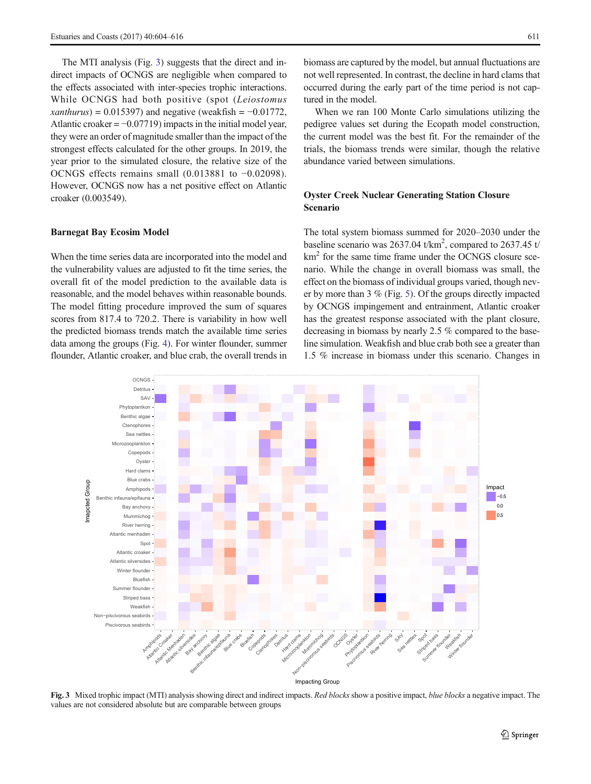The MTI analysis (Fig. 3) suggests that the direct and indirect impacts of OCNGS are negligible when compared to the effects associated with inter-species trophic interactions. While OCNGS had both positive (spot (Leiostomus xanthurus) = 0.015397) and negative (weakfish =  $-0.01772$ , Atlantic croaker  $= -0.07719$ ) impacts in the initial model year, they were an order of magnitude smaller than the impact of the strongest effects calculated for the other groups. In 2019, the year prior to the simulated closure, the relative size of the OCNGS effects remains small (0.013881 to −0.02098). However, OCNGS now has a net positive effect on Atlantic croaker (0.003549).

## Barnegat Bay Ecosim Model

When the time series data are incorporated into the model and the vulnerability values are adjusted to fit the time series, the overall fit of the model prediction to the available data is reasonable, and the model behaves within reasonable bounds. The model fitting procedure improved the sum of squares scores from 817.4 to 720.2. There is variability in how well the predicted biomass trends match the available time series data among the groups (Fig. [4\)](#page-8-0). For winter flounder, summer flounder, Atlantic croaker, and blue crab, the overall trends in

biomass are captured by the model, but annual fluctuations are not well represented. In contrast, the decline in hard clams that occurred during the early part of the time period is not captured in the model.

When we ran 100 Monte Carlo simulations utilizing the pedigree values set during the Ecopath model construction, the current model was the best fit. For the remainder of the trials, the biomass trends were similar, though the relative abundance varied between simulations.

# Oyster Creek Nuclear Generating Station Closure Scenario

The total system biomass summed for 2020–2030 under the baseline scenario was  $2637.04$  t/km<sup>2</sup>, compared to  $2637.45$  t/ km<sup>2</sup> for the same time frame under the OCNGS closure scenario. While the change in overall biomass was small, the effect on the biomass of individual groups varied, though never by more than 3 % (Fig. [5](#page-9-0)). Of the groups directly impacted by OCNGS impingement and entrainment, Atlantic croaker has the greatest response associated with the plant closure, decreasing in biomass by nearly 2.5 % compared to the baseline simulation. Weakfish and blue crab both see a greater than 1.5 % increase in biomass under this scenario. Changes in



Fig. 3 Mixed trophic impact (MTI) analysis showing direct and indirect impacts. Red blocks show a positive impact, blue blocks a negative impact. The values are not considered absolute but are comparable between groups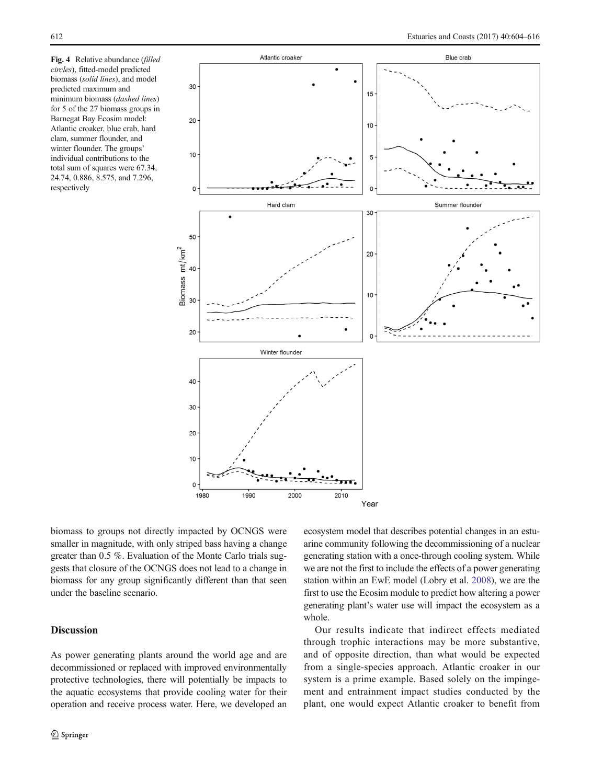<span id="page-8-0"></span>Fig. 4 Relative abundance (filled circles), fitted-model predicted biomass (solid lines), and model predicted maximum and minimum biomass (dashed lines) for 5 of the 27 biomass groups in Barnegat Bay Ecosim model: Atlantic croaker, blue crab, hard clam, summer flounder, and winter flounder. The groups' individual contributions to the total sum of squares were 67.34, 24.74, 0.886, 8.575, and 7.296, respectively



biomass to groups not directly impacted by OCNGS were smaller in magnitude, with only striped bass having a change greater than 0.5 %. Evaluation of the Monte Carlo trials suggests that closure of the OCNGS does not lead to a change in biomass for any group significantly different than that seen under the baseline scenario.

# **Discussion**

As power generating plants around the world age and are decommissioned or replaced with improved environmentally protective technologies, there will potentially be impacts to the aquatic ecosystems that provide cooling water for their operation and receive process water. Here, we developed an ecosystem model that describes potential changes in an estuarine community following the decommissioning of a nuclear generating station with a once-through cooling system. While we are not the first to include the effects of a power generating station within an EwE model (Lobry et al. [2008\)](#page-11-0), we are the first to use the Ecosim module to predict how altering a power generating plant's water use will impact the ecosystem as a whole.

Our results indicate that indirect effects mediated through trophic interactions may be more substantive, and of opposite direction, than what would be expected from a single-species approach. Atlantic croaker in our system is a prime example. Based solely on the impingement and entrainment impact studies conducted by the plant, one would expect Atlantic croaker to benefit from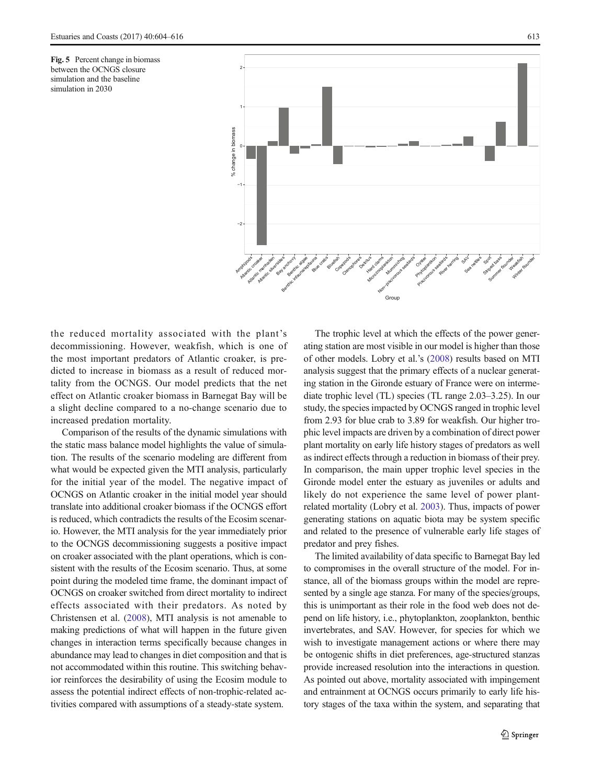<span id="page-9-0"></span>Fig. 5 Percent change in biomass between the OCNGS closure simulation and the baseline simulation in 2030



the reduced mortality associated with the plant's decommissioning. However, weakfish, which is one of the most important predators of Atlantic croaker, is predicted to increase in biomass as a result of reduced mortality from the OCNGS. Our model predicts that the net effect on Atlantic croaker biomass in Barnegat Bay will be a slight decline compared to a no-change scenario due to increased predation mortality.

Comparison of the results of the dynamic simulations with the static mass balance model highlights the value of simulation. The results of the scenario modeling are different from what would be expected given the MTI analysis, particularly for the initial year of the model. The negative impact of OCNGS on Atlantic croaker in the initial model year should translate into additional croaker biomass if the OCNGS effort is reduced, which contradicts the results of the Ecosim scenario. However, the MTI analysis for the year immediately prior to the OCNGS decommissioning suggests a positive impact on croaker associated with the plant operations, which is consistent with the results of the Ecosim scenario. Thus, at some point during the modeled time frame, the dominant impact of OCNGS on croaker switched from direct mortality to indirect effects associated with their predators. As noted by Christensen et al. ([2008\)](#page-10-0), MTI analysis is not amenable to making predictions of what will happen in the future given changes in interaction terms specifically because changes in abundance may lead to changes in diet composition and that is not accommodated within this routine. This switching behavior reinforces the desirability of using the Ecosim module to assess the potential indirect effects of non-trophic-related activities compared with assumptions of a steady-state system.

The trophic level at which the effects of the power generating station are most visible in our model is higher than those of other models. Lobry et al.'s ([2008](#page-11-0)) results based on MTI analysis suggest that the primary effects of a nuclear generating station in the Gironde estuary of France were on intermediate trophic level (TL) species (TL range 2.03–3.25). In our study, the species impacted by OCNGS ranged in trophic level from 2.93 for blue crab to 3.89 for weakfish. Our higher trophic level impacts are driven by a combination of direct power plant mortality on early life history stages of predators as well as indirect effects through a reduction in biomass of their prey. In comparison, the main upper trophic level species in the Gironde model enter the estuary as juveniles or adults and likely do not experience the same level of power plantrelated mortality (Lobry et al. [2003\)](#page-11-0). Thus, impacts of power generating stations on aquatic biota may be system specific and related to the presence of vulnerable early life stages of predator and prey fishes.

The limited availability of data specific to Barnegat Bay led to compromises in the overall structure of the model. For instance, all of the biomass groups within the model are represented by a single age stanza. For many of the species/groups, this is unimportant as their role in the food web does not depend on life history, i.e., phytoplankton, zooplankton, benthic invertebrates, and SAV. However, for species for which we wish to investigate management actions or where there may be ontogenic shifts in diet preferences, age-structured stanzas provide increased resolution into the interactions in question. As pointed out above, mortality associated with impingement and entrainment at OCNGS occurs primarily to early life history stages of the taxa within the system, and separating that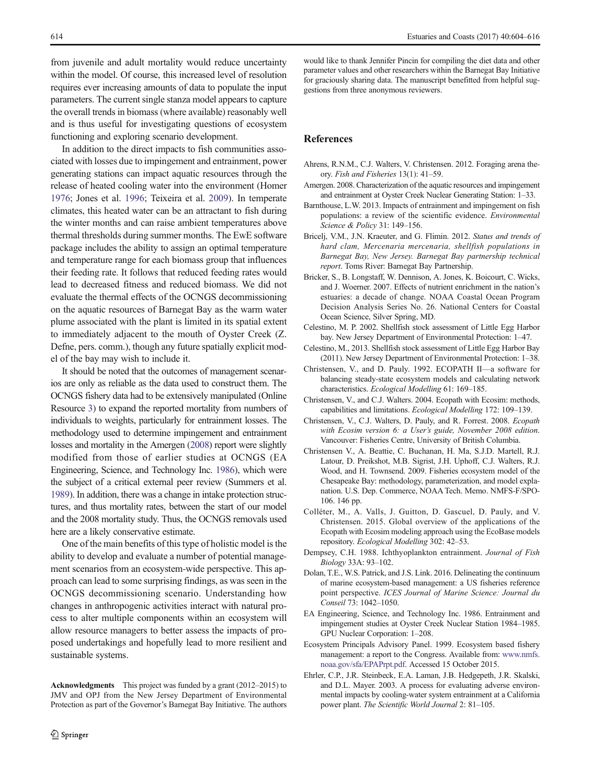<span id="page-10-0"></span>from juvenile and adult mortality would reduce uncertainty within the model. Of course, this increased level of resolution requires ever increasing amounts of data to populate the input parameters. The current single stanza model appears to capture the overall trends in biomass (where available) reasonably well and is thus useful for investigating questions of ecosystem functioning and exploring scenario development.

In addition to the direct impacts to fish communities associated with losses due to impingement and entrainment, power generating stations can impact aquatic resources through the release of heated cooling water into the environment (Homer [1976;](#page-11-0) Jones et al. [1996](#page-11-0); Teixeira et al. [2009](#page-11-0)). In temperate climates, this heated water can be an attractant to fish during the winter months and can raise ambient temperatures above thermal thresholds during summer months. The EwE software package includes the ability to assign an optimal temperature and temperature range for each biomass group that influences their feeding rate. It follows that reduced feeding rates would lead to decreased fitness and reduced biomass. We did not evaluate the thermal effects of the OCNGS decommissioning on the aquatic resources of Barnegat Bay as the warm water plume associated with the plant is limited in its spatial extent to immediately adjacent to the mouth of Oyster Creek (Z. Defne, pers. comm.), though any future spatially explicit model of the bay may wish to include it.

It should be noted that the outcomes of management scenarios are only as reliable as the data used to construct them. The OCNGS fishery data had to be extensively manipulated (Online Resource 3) to expand the reported mortality from numbers of individuals to weights, particularly for entrainment losses. The methodology used to determine impingement and entrainment losses and mortality in the Amergen (2008) report were slightly modified from those of earlier studies at OCNGS (EA Engineering, Science, and Technology Inc. 1986), which were the subject of a critical external peer review (Summers et al. [1989](#page-11-0)). In addition, there was a change in intake protection structures, and thus mortality rates, between the start of our model and the 2008 mortality study. Thus, the OCNGS removals used here are a likely conservative estimate.

One of the main benefits of this type of holistic model is the ability to develop and evaluate a number of potential management scenarios from an ecosystem-wide perspective. This approach can lead to some surprising findings, as was seen in the OCNGS decommissioning scenario. Understanding how changes in anthropogenic activities interact with natural process to alter multiple components within an ecosystem will allow resource managers to better assess the impacts of proposed undertakings and hopefully lead to more resilient and sustainable systems.

Acknowledgments This project was funded by a grant (2012–2015) to JMV and OPJ from the New Jersey Department of Environmental Protection as part of the Governor's Barnegat Bay Initiative. The authors would like to thank Jennifer Pincin for compiling the diet data and other parameter values and other researchers within the Barnegat Bay Initiative for graciously sharing data. The manuscript benefitted from helpful suggestions from three anonymous reviewers.

## **References**

- Ahrens, R.N.M., C.J. Walters, V. Christensen. 2012. Foraging arena theory. Fish and Fisheries 13(1): 41–59.
- Amergen. 2008. Characterization of the aquatic resources and impingement and entrainment at Oyster Creek Nuclear Generating Station: 1–33.
- Barnthouse, L.W. 2013. Impacts of entrainment and impingement on fish populations: a review of the scientific evidence. Environmental Science & Policy 31: 149–156.
- Bricelj, V.M., J.N. Kraeuter, and G. Flimin. 2012. Status and trends of hard clam, Mercenaria mercenaria, shellfish populations in Barnegat Bay, New Jersey. Barnegat Bay partnership technical report. Toms River: Barnegat Bay Partnership.
- Bricker, S., B. Longstaff, W. Dennison, A. Jones, K. Boicourt, C. Wicks, and J. Woerner. 2007. Effects of nutrient enrichment in the nation's estuaries: a decade of change. NOAA Coastal Ocean Program Decision Analysis Series No. 26. National Centers for Coastal Ocean Science, Silver Spring, MD.
- Celestino, M. P. 2002. Shellfish stock assessment of Little Egg Harbor bay. New Jersey Department of Environmental Protection: 1–47.
- Celestino, M., 2013. Shellfish stock assessment of Little Egg Harbor Bay (2011). New Jersey Department of Environmental Protection: 1–38.
- Christensen, V., and D. Pauly. 1992. ECOPATH II—a software for balancing steady-state ecosystem models and calculating network characteristics. Ecological Modelling 61: 169–185.
- Christensen, V., and C.J. Walters. 2004. Ecopath with Ecosim: methods, capabilities and limitations. Ecological Modelling 172: 109–139.
- Christensen, V., C.J. Walters, D. Pauly, and R. Forrest. 2008. Ecopath with Ecosim version 6: a User's guide, November 2008 edition. Vancouver: Fisheries Centre, University of British Columbia.
- Christensen V., A. Beattie, C. Buchanan, H. Ma, S.J.D. Martell, R.J. Latour, D. Preikshot, M.B. Sigrist, J.H. Uphoff, C.J. Walters, R.J. Wood, and H. Townsend. 2009. Fisheries ecosystem model of the Chesapeake Bay: methodology, parameterization, and model explanation. U.S. Dep. Commerce, NOAA Tech. Memo. NMFS-F/SPO-106. 146 pp.
- Colléter, M., A. Valls, J. Guitton, D. Gascuel, D. Pauly, and V. Christensen. 2015. Global overview of the applications of the Ecopath with Ecosim modeling approach using the EcoBase models repository. Ecological Modelling 302: 42–53.
- Dempsey, C.H. 1988. Ichthyoplankton entrainment. Journal of Fish Biology 33A: 93–102.
- Dolan, T.E., W.S. Patrick, and J.S. Link. 2016. Delineating the continuum of marine ecosystem-based management: a US fisheries reference point perspective. ICES Journal of Marine Science: Journal du Conseil 73: 1042–1050.
- EA Engineering, Science, and Technology Inc. 1986. Entrainment and impingement studies at Oyster Creek Nuclear Station 1984–1985. GPU Nuclear Corporation: 1–208.
- Ecosystem Principals Advisory Panel. 1999. Ecosystem based fishery management: a report to the Congress. Available from: [www.nmfs.](http://www.nmfs.noaa.gov/sfa/EPAPrpt.pdf) [noaa.gov/sfa/EPAPrpt.pdf](http://www.nmfs.noaa.gov/sfa/EPAPrpt.pdf). Accessed 15 October 2015.
- Ehrler, C.P., J.R. Steinbeck, E.A. Laman, J.B. Hedgepeth, J.R. Skalski, and D.L. Mayer. 2003. A process for evaluating adverse environmental impacts by cooling-water system entrainment at a California power plant. The Scientific World Journal 2: 81–105.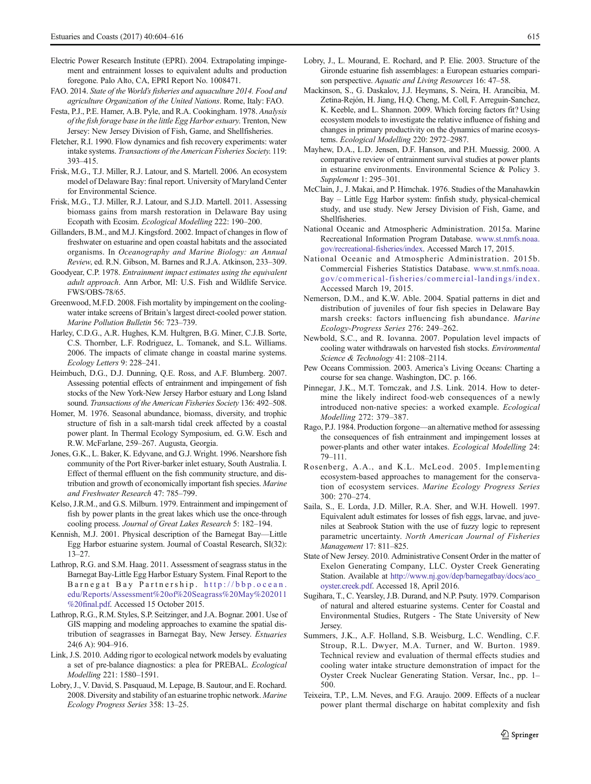- <span id="page-11-0"></span>Electric Power Research Institute (EPRI). 2004. Extrapolating impingement and entrainment losses to equivalent adults and production foregone. Palo Alto, CA, EPRI Report No. 1008471.
- FAO. 2014. State of the World's fisheries and aquaculture 2014. Food and agriculture Organization of the United Nations. Rome, Italy: FAO.
- Festa, P.J., P.E. Hamer, A.B. Pyle, and R.A. Cookingham. 1978. Analysis of the fish forage base in the little Egg Harbor estuary. Trenton, New Jersey: New Jersey Division of Fish, Game, and Shellfisheries.
- Fletcher, R.I. 1990. Flow dynamics and fish recovery experiments: water intake systems. Transactions of the American Fisheries Society. 119: 393–415.
- Frisk, M.G., T.J. Miller, R.J. Latour, and S. Martell. 2006. An ecosystem model of Delaware Bay: final report. University of Maryland Center for Environmental Science.
- Frisk, M.G., T.J. Miller, R.J. Latour, and S.J.D. Martell. 2011. Assessing biomass gains from marsh restoration in Delaware Bay using Ecopath with Ecosim. Ecological Modelling 222: 190–200.
- Gillanders, B.M., and M.J. Kingsford. 2002. Impact of changes in flow of freshwater on estuarine and open coastal habitats and the associated organisms. In Oceanography and Marine Biology: an Annual Review, ed. R.N. Gibson, M. Barnes and R.J.A. Atkinson, 233–309.
- Goodyear, C.P. 1978. Entrainment impact estimates using the equivalent adult approach. Ann Arbor, MI: U.S. Fish and Wildlife Service. FWS/OBS-78/65.
- Greenwood, M.F.D. 2008. Fish mortality by impingement on the coolingwater intake screens of Britain's largest direct-cooled power station. Marine Pollution Bulletin 56: 723–739.
- Harley, C.D.G., A.R. Hughes, K.M. Hultgren, B.G. Miner, C.J.B. Sorte, C.S. Thornber, L.F. Rodriguez, L. Tomanek, and S.L. Williams. 2006. The impacts of climate change in coastal marine systems. Ecology Letters 9: 228–241.
- Heimbuch, D.G., D.J. Dunning, Q.E. Ross, and A.F. Blumberg. 2007. Assessing potential effects of entrainment and impingement of fish stocks of the New York-New Jersey Harbor estuary and Long Island sound. Transactions of the American Fisheries Society 136: 492–508.
- Homer, M. 1976. Seasonal abundance, biomass, diversity, and trophic structure of fish in a salt-marsh tidal creek affected by a coastal power plant. In Thermal Ecology Symposium, ed. G.W. Esch and R.W. McFarlane, 259–267. Augusta, Georgia.
- Jones, G.K., L. Baker, K. Edyvane, and G.J. Wright. 1996. Nearshore fish community of the Port River-barker inlet estuary, South Australia. I. Effect of thermal effluent on the fish community structure, and distribution and growth of economically important fish species. Marine and Freshwater Research 47: 785–799.
- Kelso, J.R.M., and G.S. Milburn. 1979. Entrainment and impingement of fish by power plants in the great lakes which use the once-through cooling process. Journal of Great Lakes Research 5: 182–194.
- Kennish, M.J. 2001. Physical description of the Barnegat Bay—Little Egg Harbor estuarine system. Journal of Coastal Research, SI(32): 13–27.
- Lathrop, R.G. and S.M. Haag. 2011. Assessment of seagrass status in the Barnegat Bay-Little Egg Harbor Estuary System. Final Report to the Barnegat Bay Partnership. [http://bbp.ocean.](http://bbp.ocean.edu/Reports/Assessment%20of%20Seagrass%20May%202011%20final.pdf) [edu/Reports/Assessment%20of%20Seagrass%20May%202011](http://bbp.ocean.edu/Reports/Assessment%20of%20Seagrass%20May%202011%20final.pdf) [%20final.pdf.](http://bbp.ocean.edu/Reports/Assessment%20of%20Seagrass%20May%202011%20final.pdf) Accessed 15 October 2015.
- Lathrop, R.G., R.M. Styles, S.P. Seitzinger, and J.A. Bognar. 2001. Use of GIS mapping and modeling approaches to examine the spatial distribution of seagrasses in Barnegat Bay, New Jersey. Estuaries 24(6 A): 904–916.
- Link, J.S. 2010. Adding rigor to ecological network models by evaluating a set of pre-balance diagnostics: a plea for PREBAL. Ecological Modelling 221: 1580–1591.
- Lobry, J., V. David, S. Pasquaud, M. Lepage, B. Sautour, and E. Rochard. 2008. Diversity and stability of an estuarine trophic network. Marine Ecology Progress Series 358: 13–25.
- Lobry, J., L. Mourand, E. Rochard, and P. Elie. 2003. Structure of the Gironde estuarine fish assemblages: a European estuaries comparison perspective. Aquatic and Living Resources 16: 47-58.
- Mackinson, S., G. Daskalov, J.J. Heymans, S. Neira, H. Arancibia, M. Zetina-Rejón, H. Jiang, H.Q. Cheng, M. Coll, F. Arreguin-Sanchez, K. Keeble, and L. Shannon. 2009. Which forcing factors fit? Using ecosystem models to investigate the relative influence of fishing and changes in primary productivity on the dynamics of marine ecosystems. Ecological Modelling 220: 2972–2987.
- Mayhew, D.A., L.D. Jensen, D.F. Hanson, and P.H. Muessig. 2000. A comparative review of entrainment survival studies at power plants in estuarine environments. Environmental Science & Policy 3. Supplement 1: 295–301.
- McClain, J., J. Makai, and P. Himchak. 1976. Studies of the Manahawkin Bay – Little Egg Harbor system: finfish study, physical-chemical study, and use study. New Jersey Division of Fish, Game, and Shellfisheries.
- National Oceanic and Atmospheric Administration. 2015a. Marine Recreational Information Program Database. [www.st.nmfs.noaa.](http://www.st.nmfs.noaa.gov/recreational-fisheries/index) [gov/recreational-fisheries/index](http://www.st.nmfs.noaa.gov/recreational-fisheries/index). Accessed March 17, 2015.
- National Oceanic and Atmospheric Administration. 2015b. Commercial Fisheries Statistics Database. [www.st.nmfs.noaa.](http://www.st.nmfs.noaa.gov/commerical-fisheries/commercial-landings/index) [gov/commerical-fisheries/commercial-landings/index](http://www.st.nmfs.noaa.gov/commerical-fisheries/commercial-landings/index). Accessed March 19, 2015.
- Nemerson, D.M., and K.W. Able. 2004. Spatial patterns in diet and distribution of juveniles of four fish species in Delaware Bay marsh creeks: factors influencing fish abundance. Marine Ecology-Progress Series 276: 249–262.
- Newbold, S.C., and R. Iovanna. 2007. Population level impacts of cooling water withdrawals on harvested fish stocks. Environmental Science & Technology 41: 2108–2114.
- Pew Oceans Commission. 2003. America's Living Oceans: Charting a course for sea change. Washington, DC. p. 166.
- Pinnegar, J.K., M.T. Tomczak, and J.S. Link. 2014. How to determine the likely indirect food-web consequences of a newly introduced non-native species: a worked example. Ecological Modelling 272: 379–387.
- Rago, P.J. 1984. Production forgone—an alternative method for assessing the consequences of fish entrainment and impingement losses at power-plants and other water intakes. Ecological Modelling 24: 79–111.
- Rosenberg, A.A., and K.L. McLeod. 2005. Implementing ecosystem-based approaches to management for the conservation of ecosystem services. Marine Ecology Progress Series 300: 270–274.
- Saila, S., E. Lorda, J.D. Miller, R.A. Sher, and W.H. Howell. 1997. Equivalent adult estimates for losses of fish eggs, larvae, and juveniles at Seabrook Station with the use of fuzzy logic to represent parametric uncertainty. North American Journal of Fisheries Management 17: 811–825.
- State of New Jersey. 2010. Administrative Consent Order in the matter of Exelon Generating Company, LLC. Oyster Creek Generating Station. Available at [http://www.nj.gov/dep/barnegatbay/docs/aco\\_](http://www.nj.gov/dep/barnegatbay/docs/aco_oyster.creek.pdf) [oyster.creek.pdf](http://www.nj.gov/dep/barnegatbay/docs/aco_oyster.creek.pdf). Accessed 18, April 2016.
- Sugihara, T., C. Yearsley, J.B. Durand, and N.P. Psuty. 1979. Comparison of natural and altered estuarine systems. Center for Coastal and Environmental Studies, Rutgers - The State University of New Jersey.
- Summers, J.K., A.F. Holland, S.B. Weisburg, L.C. Wendling, C.F. Stroup, R.L. Dwyer, M.A. Turner, and W. Burton. 1989. Technical review and evaluation of thermal effects studies and cooling water intake structure demonstration of impact for the Oyster Creek Nuclear Generating Station. Versar, Inc., pp. 1– 500.
- Teixeira, T.P., L.M. Neves, and F.G. Araujo. 2009. Effects of a nuclear power plant thermal discharge on habitat complexity and fish